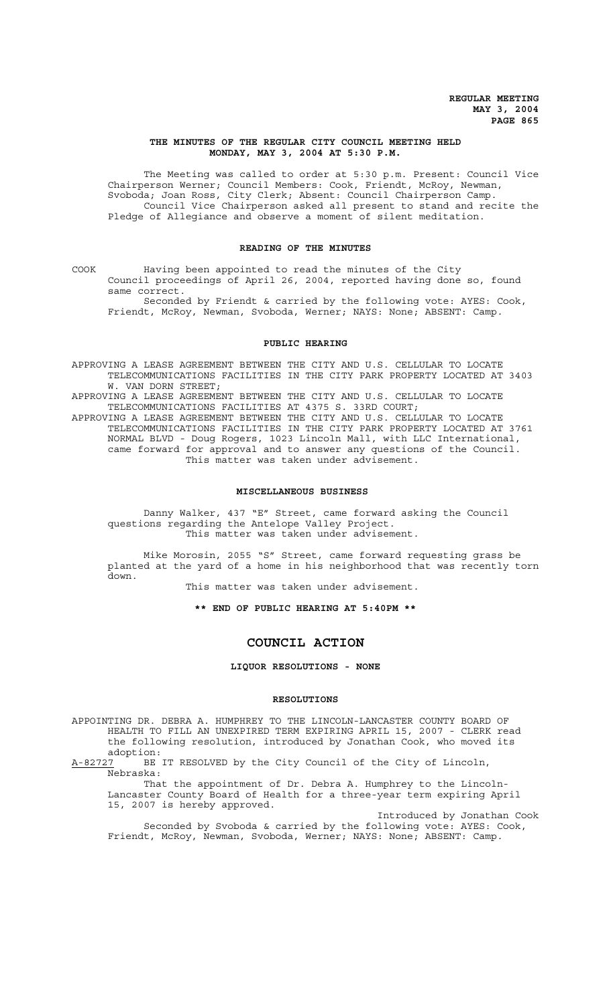# **THE MINUTES OF THE REGULAR CITY COUNCIL MEETING HELD MONDAY, MAY 3, 2004 AT 5:30 P.M.**

The Meeting was called to order at 5:30 p.m. Present: Council Vice Chairperson Werner; Council Members: Cook, Friendt, McRoy, Newman, Svoboda; Joan Ross, City Clerk; Absent: Council Chairperson Camp. Council Vice Chairperson asked all present to stand and recite the Pledge of Allegiance and observe a moment of silent meditation.

## **READING OF THE MINUTES**

COOK Having been appointed to read the minutes of the City Council proceedings of April 26, 2004, reported having done so, found same correct.

Seconded by Friendt & carried by the following vote: AYES: Cook, Friendt, McRoy, Newman, Svoboda, Werner; NAYS: None; ABSENT: Camp.

## **PUBLIC HEARING**

APPROVING A LEASE AGREEMENT BETWEEN THE CITY AND U.S. CELLULAR TO LOCATE TELECOMMUNICATIONS FACILITIES IN THE CITY PARK PROPERTY LOCATED AT 3403 W. VAN DORN STREET;

APPROVING A LEASE AGREEMENT BETWEEN THE CITY AND U.S. CELLULAR TO LOCATE TELECOMMUNICATIONS FACILITIES AT 4375 S. 33RD COURT;

APPROVING A LEASE AGREEMENT BETWEEN THE CITY AND U.S. CELLULAR TO LOCATE TELECOMMUNICATIONS FACILITIES IN THE CITY PARK PROPERTY LOCATED AT 3761 NORMAL BLVD - Doug Rogers, 1023 Lincoln Mall, with LLC International, came forward for approval and to answer any questions of the Council. This matter was taken under advisement.

#### **MISCELLANEOUS BUSINESS**

Danny Walker, 437 "E" Street, came forward asking the Council questions regarding the Antelope Valley Project. This matter was taken under advisement.

Mike Morosin, 2055 "S" Street, came forward requesting grass be planted at the yard of a home in his neighborhood that was recently torn down.

This matter was taken under advisement.

**\*\* END OF PUBLIC HEARING AT 5:40PM \*\***

# **COUNCIL ACTION**

**LIQUOR RESOLUTIONS - NONE**

## **RESOLUTIONS**

APPOINTING DR. DEBRA A. HUMPHREY TO THE LINCOLN-LANCASTER COUNTY BOARD OF HEALTH TO FILL AN UNEXPIRED TERM EXPIRING APRIL 15, 2007 - CLERK read the following resolution, introduced by Jonathan Cook, who moved its adoption:<br>A-82727 BE

BE IT RESOLVED by the City Council of the City of Lincoln, Nebraska:

That the appointment of Dr. Debra A. Humphrey to the Lincoln-Lancaster County Board of Health for a three-year term expiring April 15, 2007 is hereby approved.

Introduced by Jonathan Cook Seconded by Svoboda & carried by the following vote: AYES: Cook, Friendt, McRoy, Newman, Svoboda, Werner; NAYS: None; ABSENT: Camp.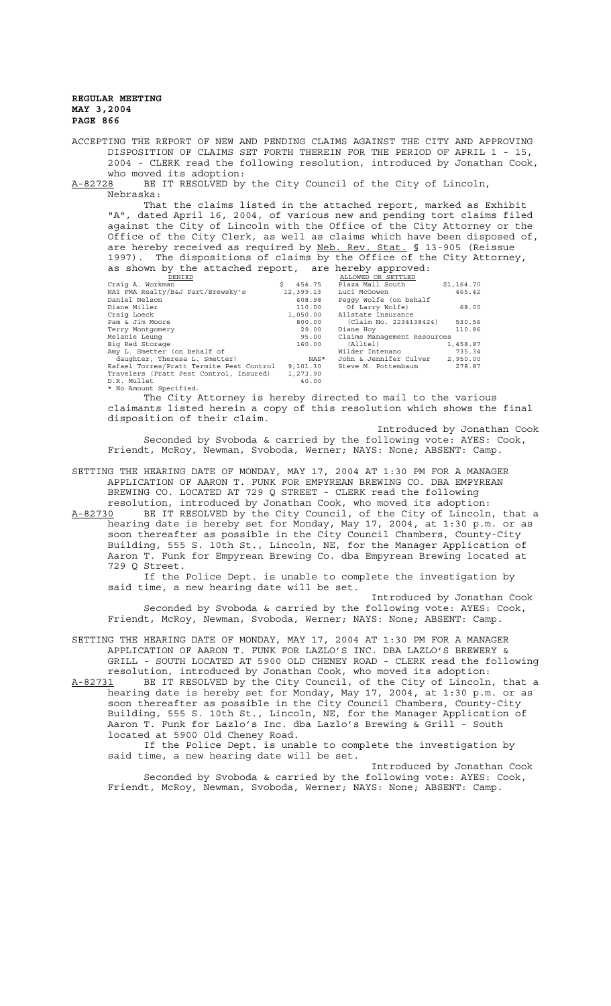ACCEPTING THE REPORT OF NEW AND PENDING CLAIMS AGAINST THE CITY AND APPROVING DISPOSITION OF CLAIMS SET FORTH THEREIN FOR THE PERIOD OF APRIL 1 - 15, 2004 - CLERK read the following resolution, introduced by Jonathan Cook, who moved its adoption:

A-82728 BE IT RESOLVED by the City Council of the City of Lincoln, Nebraska:

That the claims listed in the attached report, marked as Exhibit "A", dated April 16, 2004, of various new and pending tort claims filed against the City of Lincoln with the Office of the City Attorney or the Office of the City Clerk, as well as claims which have been disposed of, are hereby received as required by Neb. Rev. Stat. § 13-905 (Reissue 1997). The dispositions of claims by the Office of the City Attorney, as shown by the attached report, are hereby approved:

| DENIED                                   |              | ALLOWED OR SETTLED          |            |
|------------------------------------------|--------------|-----------------------------|------------|
| Craig A. Workman                         | Ŝ.<br>454.75 | Plaza Mall South            | \$1,164.70 |
| NAI FMA Realty/B&J Part/Brewsky's        | 12,399.13    | Luci McGowen                | 465.42     |
| Daniel Nelson                            | 608.98       | Peggy Wolfe (on behalf      |            |
| Diane Miller                             | 110.00       | Of Larry Wolfe)             | 68.00      |
| Craig Loeck                              | 1,050.00     | Allstate Insurance          |            |
| Pam & Jim Moore                          | 800.00       | (Claim No. 2234138424)      | 530.56     |
| Terry Montgomery                         | 29.00        | Diane Hoy                   | 110.86     |
| Melanie Leung                            | 95.00        | Claims Management Resources |            |
| Big Red Storage                          | 160.00       | (Alltel)                    | 1,458.87   |
| Amy L. Smetter (on behalf of             |              | Wilder Intenano             | 735.34     |
| daughter, Theresa L. Smetter)            | NAS*         | John & Jennifer Culver      | 2,950.00   |
| Rafael Torres/Pratt Termite Pest Control | 9,101.30     | Steve M. Pottembaum         | 278.87     |
| Travelers (Pratt Pest Control, Insured)  | 1,273.90     |                             |            |
| D.R. Mullet                              | 40.00        |                             |            |
| * No Amount Specified.                   |              |                             |            |

The City Attorney is hereby directed to mail to the various claimants listed herein a copy of this resolution which shows the final disposition of their claim.

Introduced by Jonathan Cook

Seconded by Svoboda & carried by the following vote: AYES: Cook, Friendt, McRoy, Newman, Svoboda, Werner; NAYS: None; ABSENT: Camp.

SETTING THE HEARING DATE OF MONDAY, MAY 17, 2004 AT 1:30 PM FOR A MANAGER APPLICATION OF AARON T. FUNK FOR EMPYREAN BREWING CO. DBA EMPYREAN BREWING CO. LOCATED AT 729 Q STREET - CLERK read the following resolution, introduced by Jonathan Cook, who moved its adoption:

A-82730 BE IT RESOLVED by the City Council, of the City of Lincoln, that a hearing date is hereby set for Monday, May 17, 2004, at 1:30 p.m. or as soon thereafter as possible in the City Council Chambers, County-City Building, 555 S. 10th St., Lincoln, NE, for the Manager Application of Aaron T. Funk for Empyrean Brewing Co. dba Empyrean Brewing located at 729 Q Street.

If the Police Dept. is unable to complete the investigation by said time, a new hearing date will be set.

Introduced by Jonathan Cook Seconded by Svoboda & carried by the following vote: AYES: Cook, Friendt, McRoy, Newman, Svoboda, Werner; NAYS: None; ABSENT: Camp.

SETTING THE HEARING DATE OF MONDAY, MAY 17, 2004 AT 1:30 PM FOR A MANAGER APPLICATION OF AARON T. FUNK FOR LAZLO'S INC. DBA LAZLO'S BREWERY & GRILL - SOUTH LOCATED AT 5900 OLD CHENEY ROAD - CLERK read the following resolution, introduced by Jonathan Cook, who moved its adoption:

A-82731 BE IT RESOLVED by the City Council, of the City of Lincoln, that a A-82731 BE IT RESOLVED by the City Council, of the City of Lincoln, that a<br>hearing date is hereby set for Monday, May 17, 2004, at 1:30 p.m. or as soon thereafter as possible in the City Council Chambers, County-City Building, 555 S. 10th St., Lincoln, NE, for the Manager Application of Aaron T. Funk for Lazlo's Inc. dba Lazlo's Brewing & Grill - South located at 5900 Old Cheney Road.

If the Police Dept. is unable to complete the investigation by said time, a new hearing date will be set.

Introduced by Jonathan Cook Seconded by Svoboda & carried by the following vote: AYES: Cook, Friendt, McRoy, Newman, Svoboda, Werner; NAYS: None; ABSENT: Camp.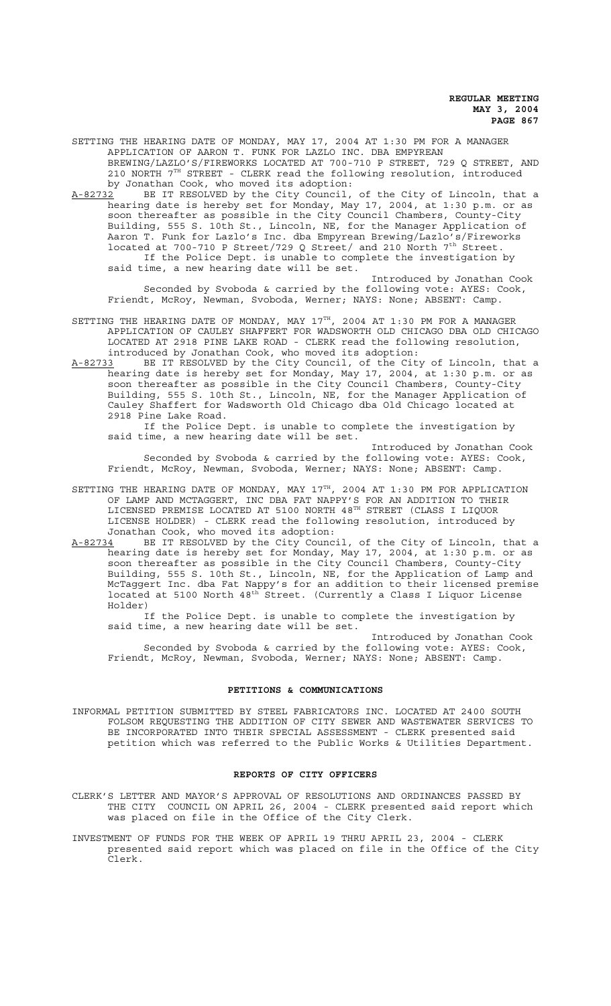SETTING THE HEARING DATE OF MONDAY, MAY 17, 2004 AT 1:30 PM FOR A MANAGER APPLICATION OF AARON T. FUNK FOR LAZLO INC. DBA EMPYREAN BREWING/LAZLO'S/FIREWORKS LOCATED AT 700-710 P STREET, 729 Q STREET, AND 210 NORTH 7TH STREET - CLERK read the following resolution, introduced by Jonathan Cook, who moved its adoption:

A-82732 BE IT RESOLVED by the City Council, of the City of Lincoln, that a hearing date is hereby set for Monday, May 17, 2004, at 1:30 p.m. or as soon thereafter as possible in the City Council Chambers, County-City Building, 555 S. 10th St., Lincoln, NE, for the Manager Application of Aaron T. Funk for Lazlo's Inc. dba Empyrean Brewing/Lazlo's/Fireworks located at 700-710 P Street/729 Q Street/ and 210 North 7<sup>th</sup> Street. If the Police Dept. is unable to complete the investigation by said time, a new hearing date will be set.

Introduced by Jonathan Cook Seconded by Svoboda & carried by the following vote: AYES: Cook, Friendt, McRoy, Newman, Svoboda, Werner; NAYS: None; ABSENT: Camp.

- SETTING THE HEARING DATE OF MONDAY, MAY  $17^{\text{th}}$ , 2004 AT 1:30 PM FOR A MANAGER APPLICATION OF CAULEY SHAFFERT FOR WADSWORTH OLD CHICAGO DBA OLD CHICAGO LOCATED AT 2918 PINE LAKE ROAD - CLERK read the following resolution, introduced by Jonathan Cook, who moved its adoption:
- A-82733 BE IT RESOLVED by the City Council, of the City of Lincoln, that a hearing date is hereby set for Monday, May 17, 2004, at 1:30 p.m. or as soon thereafter as possible in the City Council Chambers, County-City Building, 555 S. 10th St., Lincoln, NE, for the Manager Application of Cauley Shaffert for Wadsworth Old Chicago dba Old Chicago located at 2918 Pine Lake Road.

If the Police Dept. is unable to complete the investigation by said time, a new hearing date will be set.

Introduced by Jonathan Cook Seconded by Svoboda & carried by the following vote: AYES: Cook, Friendt, McRoy, Newman, Svoboda, Werner; NAYS: None; ABSENT: Camp.

- SETTING THE HEARING DATE OF MONDAY, MAY 17TH, 2004 AT 1:30 PM FOR APPLICATION OF LAMP AND MCTAGGERT, INC DBA FAT NAPPY'S FOR AN ADDITION TO THEIR LICENSED PREMISE LOCATED AT 5100 NORTH 48TH STREET (CLASS I LIQUOR LICENSE HOLDER) - CLERK read the following resolution, introduced by Jonathan Cook, who moved its adoption:
- A-82734 BE IT RESOLVED by the City Council, of the City of Lincoln, that a hearing date is hereby set for Monday, May 17, 2004, at 1:30 p.m. or as soon thereafter as possible in the City Council Chambers, County-City Building, 555 S. 10th St., Lincoln, NE, for the Application of Lamp and McTaggert Inc. dba Fat Nappy's for an addition to their licensed premise located at 5100 North 48<sup>th</sup> Street. (Currently a Class I Liquor License Holder)

If the Police Dept. is unable to complete the investigation by said time, a new hearing date will be set.

Introduced by Jonathan Cook Seconded by Svoboda & carried by the following vote: AYES: Cook, Friendt, McRoy, Newman, Svoboda, Werner; NAYS: None; ABSENT: Camp.

#### **PETITIONS & COMMUNICATIONS**

INFORMAL PETITION SUBMITTED BY STEEL FABRICATORS INC. LOCATED AT 2400 SOUTH FOLSOM REQUESTING THE ADDITION OF CITY SEWER AND WASTEWATER SERVICES TO BE INCORPORATED INTO THEIR SPECIAL ASSESSMENT - CLERK presented said petition which was referred to the Public Works & Utilities Department.

#### **REPORTS OF CITY OFFICERS**

- CLERK'S LETTER AND MAYOR'S APPROVAL OF RESOLUTIONS AND ORDINANCES PASSED BY THE CITY COUNCIL ON APRIL 26, 2004 - CLERK presented said report which was placed on file in the Office of the City Clerk.
- INVESTMENT OF FUNDS FOR THE WEEK OF APRIL 19 THRU APRIL 23, 2004 CLERK presented said report which was placed on file in the Office of the City Clerk.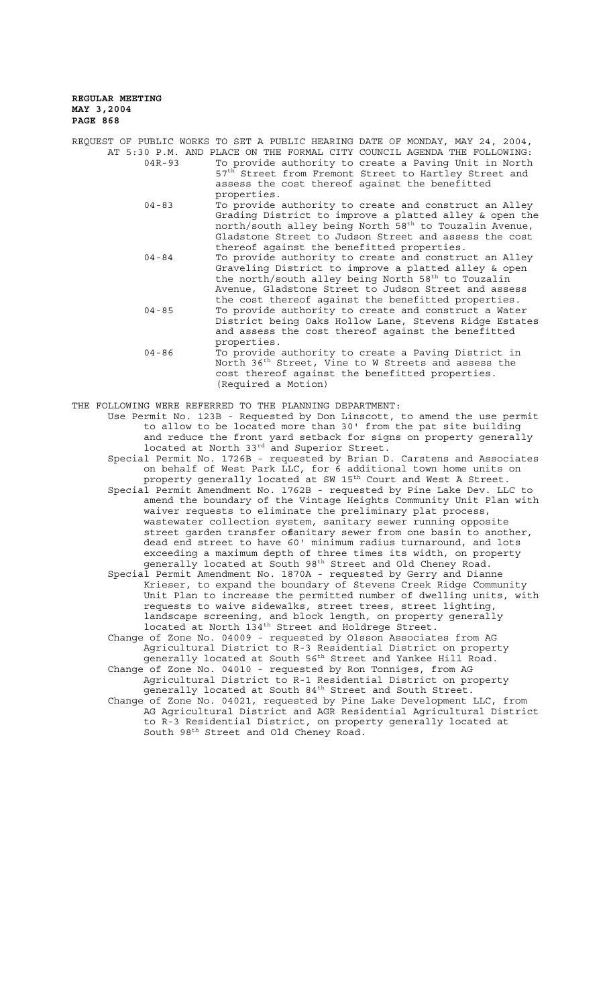|            | REQUEST OF PUBLIC WORKS TO SET A PUBLIC HEARING DATE OF MONDAY, MAY 24, 2004,                                                                                                                                                                                                                                                                |
|------------|----------------------------------------------------------------------------------------------------------------------------------------------------------------------------------------------------------------------------------------------------------------------------------------------------------------------------------------------|
| $04R - 93$ | AT 5:30 P.M. AND PLACE ON THE FORMAL CITY COUNCIL AGENDA THE FOLLOWING:<br>To provide authority to create a Paving Unit in North<br>57 <sup>th</sup> Street from Fremont Street to Hartley Street and<br>assess the cost thereof against the benefitted<br>properties.                                                                       |
| $04 - 83$  | To provide authority to create and construct an Alley<br>Grading District to improve a platted alley & open the<br>north/south alley being North 58 <sup>th</sup> to Touzalin Avenue,<br>Gladstone Street to Judson Street and assess the cost                                                                                               |
| $04 - 84$  | thereof against the benefitted properties.<br>To provide authority to create and construct an Alley<br>Graveling District to improve a platted alley & open<br>the north/south alley being North 58 <sup>th</sup> to Touzalin<br>Avenue, Gladstone Street to Judson Street and assess<br>the cost thereof against the benefitted properties. |
| $04 - 85$  | To provide authority to create and construct a Water<br>District being Oaks Hollow Lane, Stevens Ridge Estates<br>and assess the cost thereof against the benefitted<br>properties.                                                                                                                                                          |
| $04 - 86$  | To provide authority to create a Paving District in<br>North 36 <sup>th</sup> Street, Vine to W Streets and assess the<br>cost thereof against the benefitted properties.<br>(Required a Motion)                                                                                                                                             |

THE FOLLOWING WERE REFERRED TO THE PLANNING DEPARTMENT:

Use Permit No. 123B - Requested by Don Linscott, to amend the use permit to allow to be located more than 30' from the pat site building and reduce the front yard setback for signs on property generally located at North 33<sup>rd</sup> and Superior Street.

Special Permit No. 1726B - requested by Brian D. Carstens and Associates on behalf of West Park LLC, for 6 additional town home units on property generally located at SW  $15^{\rm th}$  Court and West A Street. Special Permit Amendment No. 1762B - requested by Pine Lake Dev. LLC to amend the boundary of the Vintage Heights Community Unit Plan with waiver requests to eliminate the preliminary plat process, wastewater collection system, sanitary sewer running opposite street garden transfer of anitary sewer from one basin to another, dead end street to have 60' minimum radius turnaround, and lots exceeding a maximum depth of three times its width, on property

generally located at South 98th Street and Old Cheney Road. Special Permit Amendment No. 1870A - requested by Gerry and Dianne Krieser, to expand the boundary of Stevens Creek Ridge Community Unit Plan to increase the permitted number of dwelling units, with requests to waive sidewalks, street trees, street lighting, landscape screening, and block length, on property generally located at North 134<sup>th</sup> Street and Holdrege Street.

Change of Zone No. 04009 - requested by Olsson Associates from AG Agricultural District to R-3 Residential District on property generally located at South 56th Street and Yankee Hill Road.

Change of Zone No. 04010 - requested by Ron Tonniges, from AG Agricultural District to R-1 Residential District on property generally located at South 84th Street and South Street.

Change of Zone No. 04021, requested by Pine Lake Development LLC, from AG Agricultural District and AGR Residential Agricultural District to R-3 Residential District, on property generally located at South 98th Street and Old Cheney Road.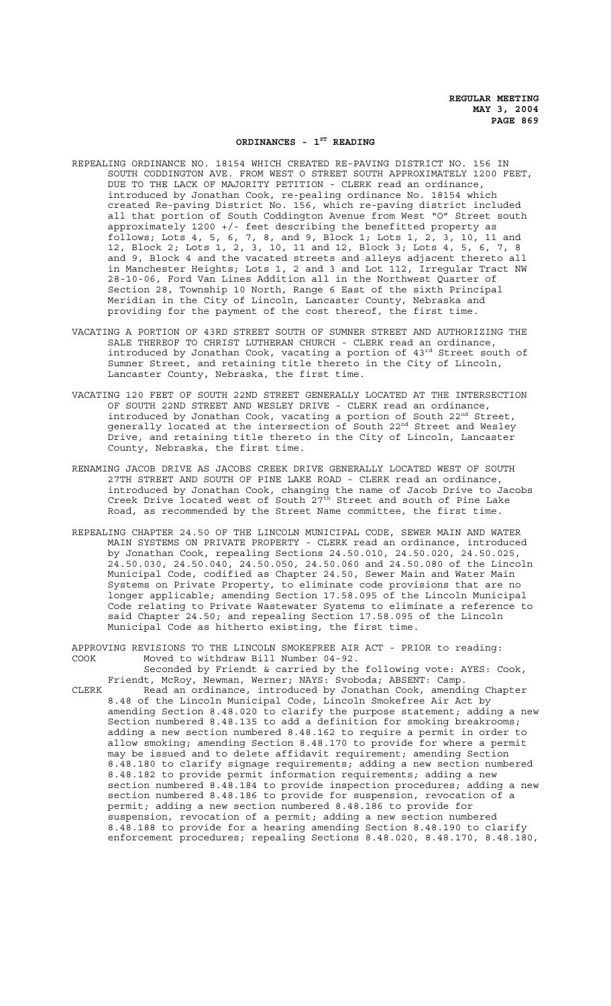## ORDINANCES - 1<sup>ST</sup> READING

- REPEALING ORDINANCE NO. 18154 WHICH CREATED RE-PAVING DISTRICT NO. 156 IN SOUTH CODDINGTON AVE. FROM WEST O STREET SOUTH APPROXIMATELY 1200 FEET, DUE TO THE LACK OF MAJORITY PETITION - CLERK read an ordinance, introduced by Jonathan Cook, re-pealing ordinance No. 18154 which created Re-paving District No. 156, which re-paving district included all that portion of South Coddington Avenue from West "O" Street south approximately 1200 +/- feet describing the benefitted property as follows; Lots 4, 5, 6, 7, 8, and 9, Block 1; Lots 1, 2, 3, 10, 11 and 12, Block 2; Lots 1, 2, 3, 10, 11 and 12, Block 3; Lots 4, 5, 6, 7, 8 and 9, Block 4 and the vacated streets and alleys adjacent thereto all in Manchester Heights; Lots 1, 2 and 3 and Lot 112, Irregular Tract NW 28-10-06, Ford Van Lines Addition all in the Northwest Quarter of Section 28, Township 10 North, Range 6 East of the sixth Principal Meridian in the City of Lincoln, Lancaster County, Nebraska and providing for the payment of the cost thereof, the first time.
- VACATING A PORTION OF 43RD STREET SOUTH OF SUMNER STREET AND AUTHORIZING THE SALE THEREOF TO CHRIST LUTHERAN CHURCH - CLERK read an ordinance, introduced by Jonathan Cook, vacating a portion of 43rd Street south of Sumner Street, and retaining title thereto in the City of Lincoln, Lancaster County, Nebraska, the first time.
- VACATING 120 FEET OF SOUTH 22ND STREET GENERALLY LOCATED AT THE INTERSECTION OF SOUTH 22ND STREET AND WESLEY DRIVE - CLERK read an ordinance, introduced by Jonathan Cook, vacating a portion of South  $22<sup>nd</sup>$  Street, generally located at the intersection of South 22<sup>nd</sup> Street and Wesley Drive, and retaining title thereto in the City of Lincoln, Lancaster County, Nebraska, the first time.
- RENAMING JACOB DRIVE AS JACOBS CREEK DRIVE GENERALLY LOCATED WEST OF SOUTH 27TH STREET AND SOUTH OF PINE LAKE ROAD - CLERK read an ordinance, introduced by Jonathan Cook, changing the name of Jacob Drive to Jacobs Creek Drive located west of South 27<sup>th</sup> Street and south of Pine Lake Road, as recommended by the Street Name committee, the first time.
- REPEALING CHAPTER 24.50 OF THE LINCOLN MUNICIPAL CODE, SEWER MAIN AND WATER MAIN SYSTEMS ON PRIVATE PROPERTY - CLERK read an ordinance, introduced by Jonathan Cook, repealing Sections 24.50.010, 24.50.020, 24.50.025, 24.50.030, 24.50.040, 24.50.050, 24.50.060 and 24.50.080 of the Lincoln Municipal Code, codified as Chapter 24.50, Sewer Main and Water Main Systems on Private Property, to eliminate code provisions that are no longer applicable; amending Section 17.58.095 of the Lincoln Municipal Code relating to Private Wastewater Systems to eliminate a reference to said Chapter 24.50; and repealing Section 17.58.095 of the Lincoln Municipal Code as hitherto existing, the first time.

APPROVING REVISIONS TO THE LINCOLN SMOKEFREE AIR ACT - PRIOR to reading: COOK Moved to withdraw Bill Number 04-92.

Seconded by Friendt & carried by the following vote: AYES: Cook, Friendt, McRoy, Newman, Werner; NAYS: Svoboda; ABSENT: Camp. CLERK Read an ordinance, introduced by Jonathan Cook, amending Chapter

8.48 of the Lincoln Municipal Code, Lincoln Smokefree Air Act by amending Section 8.48.020 to clarify the purpose statement; adding a new Section numbered 8.48.135 to add a definition for smoking breakrooms; adding a new section numbered 8.48.162 to require a permit in order to allow smoking; amending Section 8.48.170 to provide for where a permit may be issued and to delete affidavit requirement; amending Section 8.48.180 to clarify signage requirements; adding a new section numbered 8.48.182 to provide permit information requirements; adding a new section numbered 8.48.184 to provide inspection procedures; adding a new section numbered 8.48.186 to provide for suspension, revocation of a permit; adding a new section numbered 8.48.186 to provide for suspension, revocation of a permit; adding a new section numbered 8.48.188 to provide for a hearing amending Section 8.48.190 to clarify enforcement procedures; repealing Sections 8.48.020, 8.48.170, 8.48.180,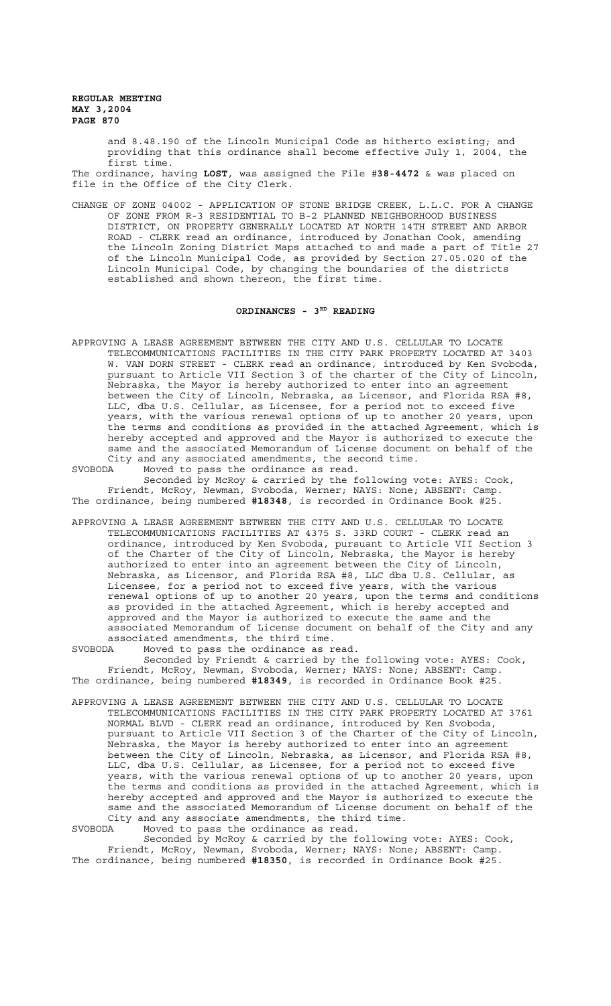> and 8.48.190 of the Lincoln Municipal Code as hitherto existing; and providing that this ordinance shall become effective July 1, 2004, the first time.

The ordinance, having **LOST**, was assigned the File #**38-4472** & was placed on file in the Office of the City Clerk.

CHANGE OF ZONE 04002 - APPLICATION OF STONE BRIDGE CREEK, L.L.C. FOR A CHANGE OF ZONE FROM R-3 RESIDENTIAL TO B-2 PLANNED NEIGHBORHOOD BUSINESS DISTRICT, ON PROPERTY GENERALLY LOCATED AT NORTH 14TH STREET AND ARBOR ROAD - CLERK read an ordinance, introduced by Jonathan Cook, amending the Lincoln Zoning District Maps attached to and made a part of Title 27 of the Lincoln Municipal Code, as provided by Section 27.05.020 of the Lincoln Municipal Code, by changing the boundaries of the districts established and shown thereon, the first time.

### ORDINANCES - 3RD READING

APPROVING A LEASE AGREEMENT BETWEEN THE CITY AND U.S. CELLULAR TO LOCATE TELECOMMUNICATIONS FACILITIES IN THE CITY PARK PROPERTY LOCATED AT 3403 W. VAN DORN STREET - CLERK read an ordinance, introduced by Ken Svoboda, pursuant to Article VII Section 3 of the charter of the City of Lincoln, Nebraska, the Mayor is hereby authorized to enter into an agreement between the City of Lincoln, Nebraska, as Licensor, and Florida RSA #8, LLC, dba U.S. Cellular, as Licensee, for a period not to exceed five years, with the various renewal options of up to another 20 years, upon the terms and conditions as provided in the attached Agreement, which is hereby accepted and approved and the Mayor is authorized to execute the same and the associated Memorandum of License document on behalf of the City and any associated amendments, the second time. SVOBODA Moved to pass the ordinance as read.

Seconded by McRoy & carried by the following vote: AYES: Cook, Friendt, McRoy, Newman, Svoboda, Werner; NAYS: None; ABSENT: Camp. The ordinance, being numbered **#18348**, is recorded in Ordinance Book #25.

APPROVING A LEASE AGREEMENT BETWEEN THE CITY AND U.S. CELLULAR TO LOCATE TELECOMMUNICATIONS FACILITIES AT 4375 S. 33RD COURT - CLERK read an ordinance, introduced by Ken Svoboda, pursuant to Article VII Section 3 of the Charter of the City of Lincoln, Nebraska, the Mayor is hereby authorized to enter into an agreement between the City of Lincoln, Nebraska, as Licensor, and Florida RSA #8, LLC dba U.S. Cellular, as Licensee, for a period not to exceed five years, with the various renewal options of up to another 20 years, upon the terms and conditions as provided in the attached Agreement, which is hereby accepted and approved and the Mayor is authorized to execute the same and the associated Memorandum of License document on behalf of the City and any associated amendments, the third time.

SVOBODA Moved to pass the ordinance as read. Seconded by Friendt & carried by the following vote: AYES: Cook, Friendt, McRoy, Newman, Svoboda, Werner; NAYS: None; ABSENT: Camp. The ordinance, being numbered **#18349**, is recorded in Ordinance Book #25.

APPROVING A LEASE AGREEMENT BETWEEN THE CITY AND U.S. CELLULAR TO LOCATE TELECOMMUNICATIONS FACILITIES IN THE CITY PARK PROPERTY LOCATED AT 3761 NORMAL BLVD - CLERK read an ordinance, introduced by Ken Svoboda, pursuant to Article VII Section 3 of the Charter of the City of Lincoln, Nebraska, the Mayor is hereby authorized to enter into an agreement between the City of Lincoln, Nebraska, as Licensor, and Florida RSA #8, LLC, dba U.S. Cellular, as Licensee, for a period not to exceed five years, with the various renewal options of up to another 20 years, upon the terms and conditions as provided in the attached Agreement, which is hereby accepted and approved and the Mayor is authorized to execute the same and the associated Memorandum of License document on behalf of the City and any associate amendments, the third time.<br>SVOBODA Moved to pass the ordinance as read. Moved to pass the ordinance as read.

Seconded by McRoy & carried by the following vote: AYES: Cook, Friendt, McRoy, Newman, Svoboda, Werner; NAYS: None; ABSENT: Camp. The ordinance, being numbered **#18350**, is recorded in Ordinance Book #25.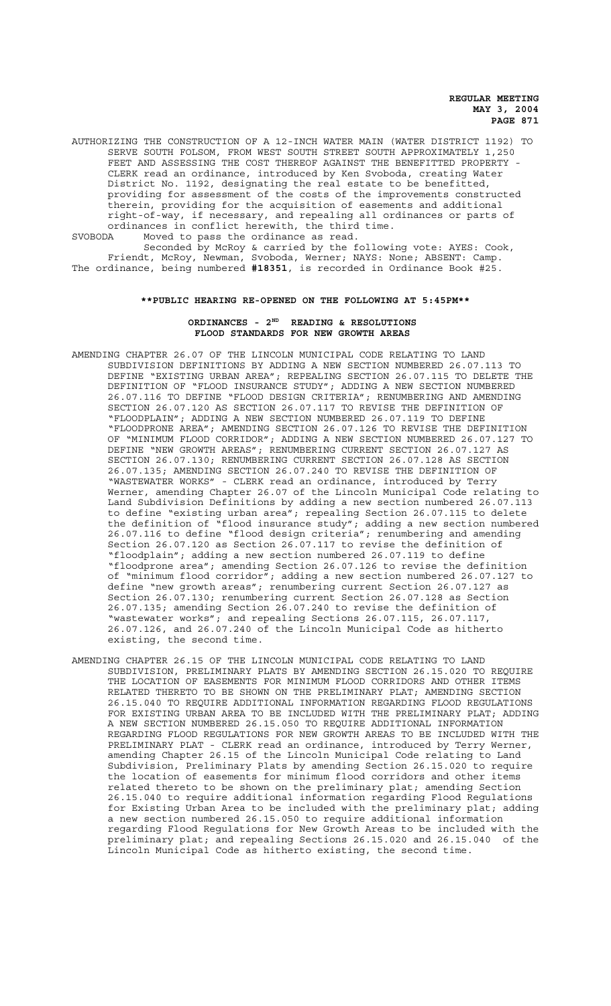AUTHORIZING THE CONSTRUCTION OF A 12-INCH WATER MAIN (WATER DISTRICT 1192) TO SERVE SOUTH FOLSOM, FROM WEST SOUTH STREET SOUTH APPROXIMATELY 1,250 FEET AND ASSESSING THE COST THEREOF AGAINST THE BENEFITTED PROPERTY - CLERK read an ordinance, introduced by Ken Svoboda, creating Water District No. 1192, designating the real estate to be benefitted, providing for assessment of the costs of the improvements constructed therein, providing for the acquisition of easements and additional right-of-way, if necessary, and repealing all ordinances or parts of ordinances in conflict herewith, the third time.<br>SVOBODA Moved to pass the ordinance as read. Moved to pass the ordinance as read.

Seconded by McRoy & carried by the following vote: AYES: Cook, Friendt, McRoy, Newman, Svoboda, Werner; NAYS: None; ABSENT: Camp. The ordinance, being numbered **#18351**, is recorded in Ordinance Book #25.

#### **\*\*PUBLIC HEARING RE-OPENED ON THE FOLLOWING AT 5:45PM\*\***

# **ORDINANCES - 2ND READING & RESOLUTIONS FLOOD STANDARDS FOR NEW GROWTH AREAS**

- AMENDING CHAPTER 26.07 OF THE LINCOLN MUNICIPAL CODE RELATING TO LAND SUBDIVISION DEFINITIONS BY ADDING A NEW SECTION NUMBERED 26.07.113 TO DEFINE "EXISTING URBAN AREA"; REPEALING SECTION 26.07.115 TO DELETE THE DEFINITION OF "FLOOD INSURANCE STUDY"; ADDING A NEW SECTION NUMBERED 26.07.116 TO DEFINE "FLOOD DESIGN CRITERIA"; RENUMBERING AND AMENDING SECTION 26.07.120 AS SECTION 26.07.117 TO REVISE THE DEFINITION OF "FLOODPLAIN"; ADDING A NEW SECTION NUMBERED 26.07.119 TO DEFINE "FLOODPRONE AREA"; AMENDING SECTION 26.07.126 TO REVISE THE DEFINITION OF "MINIMUM FLOOD CORRIDOR"; ADDING A NEW SECTION NUMBERED 26.07.127 TO DEFINE "NEW GROWTH AREAS"; RENUMBERING CURRENT SECTION 26.07.127 AS SECTION 26.07.130; RENUMBERING CURRENT SECTION 26.07.128 AS SECTION 26.07.135; AMENDING SECTION 26.07.240 TO REVISE THE DEFINITION OF "WASTEWATER WORKS" - CLERK read an ordinance, introduced by Terry Werner, amending Chapter 26.07 of the Lincoln Municipal Code relating to Land Subdivision Definitions by adding a new section numbered 26.07.113 to define "existing urban area"; repealing Section 26.07.115 to delete the definition of "flood insurance study"; adding a new section numbered 26.07.116 to define "flood design criteria"; renumbering and amending Section 26.07.120 as Section 26.07.117 to revise the definition of "floodplain"; adding a new section numbered 26.07.119 to define "floodprone area"; amending Section 26.07.126 to revise the definition of "minimum flood corridor"; adding a new section numbered 26.07.127 to define "new growth areas"; renumbering current Section 26.07.127 as Section 26.07.130; renumbering current Section 26.07.128 as Section 26.07.135; amending Section 26.07.240 to revise the definition of "wastewater works"; and repealing Sections 26.07.115, 26.07.117, 26.07.126, and 26.07.240 of the Lincoln Municipal Code as hitherto existing, the second time.
- AMENDING CHAPTER 26.15 OF THE LINCOLN MUNICIPAL CODE RELATING TO LAND SUBDIVISION, PRELIMINARY PLATS BY AMENDING SECTION 26.15.020 TO REQUIRE THE LOCATION OF EASEMENTS FOR MINIMUM FLOOD CORRIDORS AND OTHER ITEMS RELATED THERETO TO BE SHOWN ON THE PRELIMINARY PLAT; AMENDING SECTION 26.15.040 TO REQUIRE ADDITIONAL INFORMATION REGARDING FLOOD REGULATIONS FOR EXISTING URBAN AREA TO BE INCLUDED WITH THE PRELIMINARY PLAT; ADDING A NEW SECTION NUMBERED 26.15.050 TO REQUIRE ADDITIONAL INFORMATION REGARDING FLOOD REGULATIONS FOR NEW GROWTH AREAS TO BE INCLUDED WITH THE PRELIMINARY PLAT - CLERK read an ordinance, introduced by Terry Werner, amending Chapter 26.15 of the Lincoln Municipal Code relating to Land Subdivision, Preliminary Plats by amending Section 26.15.020 to require the location of easements for minimum flood corridors and other items related thereto to be shown on the preliminary plat; amending Section 26.15.040 to require additional information regarding Flood Regulations for Existing Urban Area to be included with the preliminary plat; adding a new section numbered 26.15.050 to require additional information regarding Flood Regulations for New Growth Areas to be included with the preliminary plat; and repealing Sections 26.15.020 and 26.15.040 of the Lincoln Municipal Code as hitherto existing, the second time.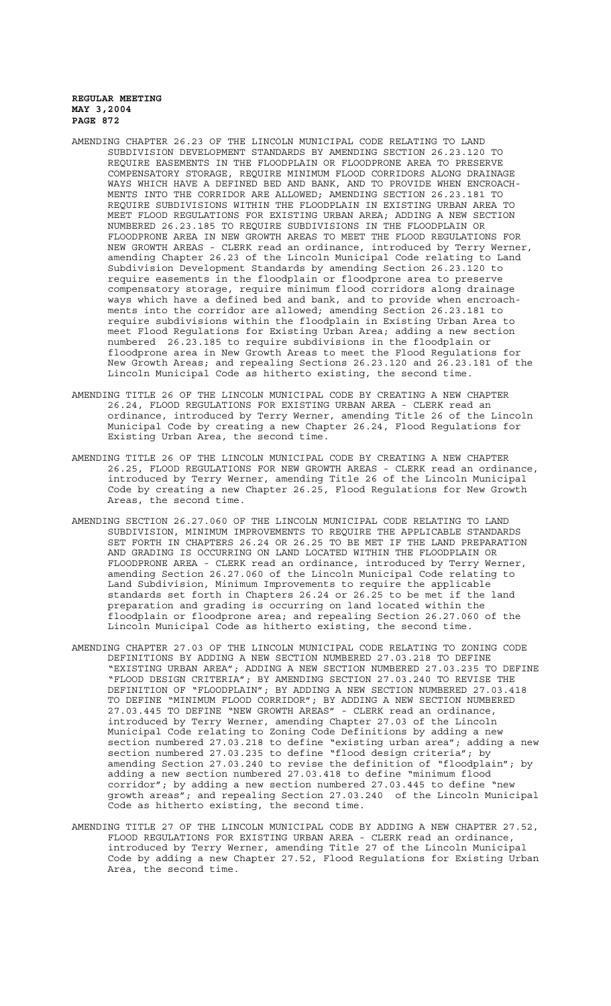- AMENDING CHAPTER 26.23 OF THE LINCOLN MUNICIPAL CODE RELATING TO LAND SUBDIVISION DEVELOPMENT STANDARDS BY AMENDING SECTION 26.23.120 TO REQUIRE EASEMENTS IN THE FLOODPLAIN OR FLOODPRONE AREA TO PRESERVE COMPENSATORY STORAGE, REQUIRE MINIMUM FLOOD CORRIDORS ALONG DRAINAGE WAYS WHICH HAVE A DEFINED BED AND BANK, AND TO PROVIDE WHEN ENCROACH-MENTS INTO THE CORRIDOR ARE ALLOWED; AMENDING SECTION 26.23.181 TO REQUIRE SUBDIVISIONS WITHIN THE FLOODPLAIN IN EXISTING URBAN AREA TO MEET FLOOD REGULATIONS FOR EXISTING URBAN AREA; ADDING A NEW SECTION NUMBERED 26.23.185 TO REQUIRE SUBDIVISIONS IN THE FLOODPLAIN OR FLOODPRONE AREA IN NEW GROWTH AREAS TO MEET THE FLOOD REGULATIONS FOR NEW GROWTH AREAS - CLERK read an ordinance, introduced by Terry Werner, amending Chapter 26.23 of the Lincoln Municipal Code relating to Land Subdivision Development Standards by amending Section 26.23.120 to require easements in the floodplain or floodprone area to preserve compensatory storage, require minimum flood corridors along drainage ways which have a defined bed and bank, and to provide when encroachments into the corridor are allowed; amending Section 26.23.181 to require subdivisions within the floodplain in Existing Urban Area to meet Flood Regulations for Existing Urban Area; adding a new section numbered 26.23.185 to require subdivisions in the floodplain or floodprone area in New Growth Areas to meet the Flood Regulations for New Growth Areas; and repealing Sections 26.23.120 and 26.23.181 of the Lincoln Municipal Code as hitherto existing, the second time.
- AMENDING TITLE 26 OF THE LINCOLN MUNICIPAL CODE BY CREATING A NEW CHAPTER 26.24, FLOOD REGULATIONS FOR EXISTING URBAN AREA - CLERK read an ordinance, introduced by Terry Werner, amending Title 26 of the Lincoln Municipal Code by creating a new Chapter 26.24, Flood Regulations for Existing Urban Area, the second time.
- AMENDING TITLE 26 OF THE LINCOLN MUNICIPAL CODE BY CREATING A NEW CHAPTER 26.25, FLOOD REGULATIONS FOR NEW GROWTH AREAS - CLERK read an ordinance, introduced by Terry Werner, amending Title 26 of the Lincoln Municipal Code by creating a new Chapter 26.25, Flood Regulations for New Growth Areas, the second time.
- AMENDING SECTION 26.27.060 OF THE LINCOLN MUNICIPAL CODE RELATING TO LAND SUBDIVISION, MINIMUM IMPROVEMENTS TO REQUIRE THE APPLICABLE STANDARDS SET FORTH IN CHAPTERS 26.24 OR 26.25 TO BE MET IF THE LAND PREPARATION AND GRADING IS OCCURRING ON LAND LOCATED WITHIN THE FLOODPLAIN OR FLOODPRONE AREA - CLERK read an ordinance, introduced by Terry Werner, amending Section 26.27.060 of the Lincoln Municipal Code relating to Land Subdivision, Minimum Improvements to require the applicable standards set forth in Chapters 26.24 or 26.25 to be met if the land preparation and grading is occurring on land located within the floodplain or floodprone area; and repealing Section 26.27.060 of the Lincoln Municipal Code as hitherto existing, the second time.
- AMENDING CHAPTER 27.03 OF THE LINCOLN MUNICIPAL CODE RELATING TO ZONING CODE DEFINITIONS BY ADDING A NEW SECTION NUMBERED 27.03.218 TO DEFINE "EXISTING URBAN AREA"; ADDING A NEW SECTION NUMBERED 27.03.235 TO DEFINE "FLOOD DESIGN CRITERIA"; BY AMENDING SECTION 27.03.240 TO REVISE THE DEFINITION OF "FLOODPLAIN"; BY ADDING A NEW SECTION NUMBERED 27.03.418 TO DEFINE "MINIMUM FLOOD CORRIDOR"; BY ADDING A NEW SECTION NUMBERED 27.03.445 TO DEFINE "NEW GROWTH AREAS" - CLERK read an ordinance, introduced by Terry Werner, amending Chapter 27.03 of the Lincoln Municipal Code relating to Zoning Code Definitions by adding a new section numbered 27.03.218 to define "existing urban area"; adding a new section numbered 27.03.235 to define "flood design criteria"; by amending Section 27.03.240 to revise the definition of "floodplain"; by adding a new section numbered 27.03.418 to define "minimum flood corridor"; by adding a new section numbered 27.03.445 to define "new growth areas"; and repealing Section 27.03.240 of the Lincoln Municipal Code as hitherto existing, the second time.
- AMENDING TITLE 27 OF THE LINCOLN MUNICIPAL CODE BY ADDING A NEW CHAPTER 27.52, FLOOD REGULATIONS FOR EXISTING URBAN AREA - CLERK read an ordinance, introduced by Terry Werner, amending Title 27 of the Lincoln Municipal Code by adding a new Chapter 27.52, Flood Regulations for Existing Urban Area, the second time.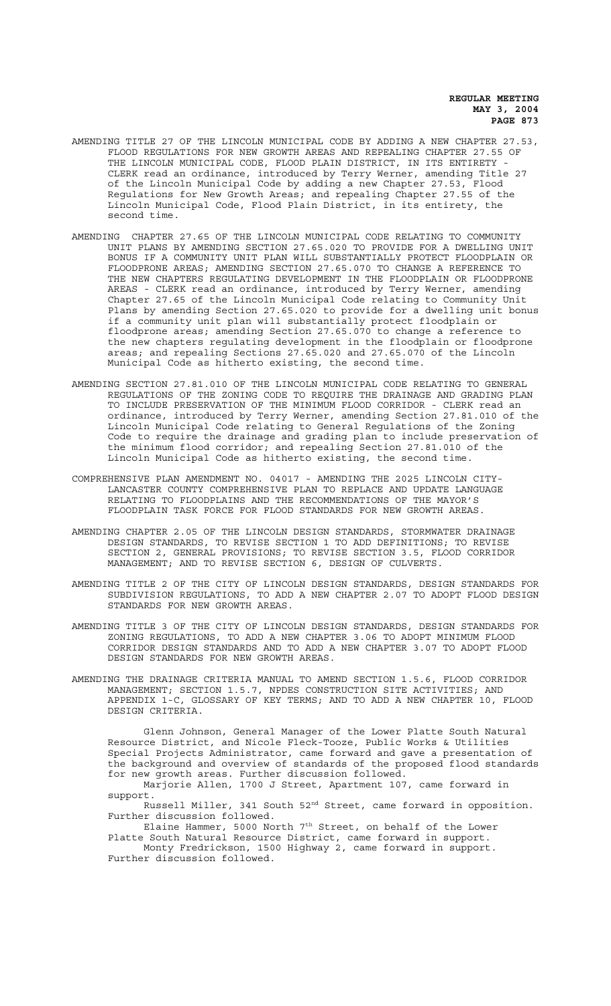- AMENDING TITLE 27 OF THE LINCOLN MUNICIPAL CODE BY ADDING A NEW CHAPTER 27.53, FLOOD REGULATIONS FOR NEW GROWTH AREAS AND REPEALING CHAPTER 27.55 OF THE LINCOLN MUNICIPAL CODE, FLOOD PLAIN DISTRICT, IN ITS ENTIRETY - CLERK read an ordinance, introduced by Terry Werner, amending Title 27 of the Lincoln Municipal Code by adding a new Chapter 27.53, Flood Regulations for New Growth Areas; and repealing Chapter 27.55 of the Lincoln Municipal Code, Flood Plain District, in its entirety, the second time.
- AMENDING CHAPTER 27.65 OF THE LINCOLN MUNICIPAL CODE RELATING TO COMMUNITY UNIT PLANS BY AMENDING SECTION 27.65.020 TO PROVIDE FOR A DWELLING UNIT BONUS IF A COMMUNITY UNIT PLAN WILL SUBSTANTIALLY PROTECT FLOODPLAIN OR FLOODPRONE AREAS; AMENDING SECTION 27.65.070 TO CHANGE A REFERENCE TO THE NEW CHAPTERS REGULATING DEVELOPMENT IN THE FLOODPLAIN OR FLOODPRONE AREAS - CLERK read an ordinance, introduced by Terry Werner, amending Chapter 27.65 of the Lincoln Municipal Code relating to Community Unit Plans by amending Section 27.65.020 to provide for a dwelling unit bonus if a community unit plan will substantially protect floodplain or floodprone areas; amending Section 27.65.070 to change a reference to the new chapters regulating development in the floodplain or floodprone areas; and repealing Sections 27.65.020 and 27.65.070 of the Lincoln Municipal Code as hitherto existing, the second time.
- AMENDING SECTION 27.81.010 OF THE LINCOLN MUNICIPAL CODE RELATING TO GENERAL REGULATIONS OF THE ZONING CODE TO REQUIRE THE DRAINAGE AND GRADING PLAN TO INCLUDE PRESERVATION OF THE MINIMUM FLOOD CORRIDOR - CLERK read an ordinance, introduced by Terry Werner, amending Section 27.81.010 of the Lincoln Municipal Code relating to General Regulations of the Zoning Code to require the drainage and grading plan to include preservation of the minimum flood corridor; and repealing Section 27.81.010 of the Lincoln Municipal Code as hitherto existing, the second time.
- COMPREHENSIVE PLAN AMENDMENT NO. 04017 AMENDING THE 2025 LINCOLN CITY-LANCASTER COUNTY COMPREHENSIVE PLAN TO REPLACE AND UPDATE LANGUAGE RELATING TO FLOODPLAINS AND THE RECOMMENDATIONS OF THE MAYOR'S FLOODPLAIN TASK FORCE FOR FLOOD STANDARDS FOR NEW GROWTH AREAS.
- AMENDING CHAPTER 2.05 OF THE LINCOLN DESIGN STANDARDS, STORMWATER DRAINAGE DESIGN STANDARDS, TO REVISE SECTION 1 TO ADD DEFINITIONS; TO REVISE SECTION 2, GENERAL PROVISIONS; TO REVISE SECTION 3.5, FLOOD CORRIDOR MANAGEMENT; AND TO REVISE SECTION 6, DESIGN OF CULVERTS.
- AMENDING TITLE 2 OF THE CITY OF LINCOLN DESIGN STANDARDS, DESIGN STANDARDS FOR SUBDIVISION REGULATIONS, TO ADD A NEW CHAPTER 2.07 TO ADOPT FLOOD DESIGN STANDARDS FOR NEW GROWTH AREAS.
- AMENDING TITLE 3 OF THE CITY OF LINCOLN DESIGN STANDARDS, DESIGN STANDARDS FOR ZONING REGULATIONS, TO ADD A NEW CHAPTER 3.06 TO ADOPT MINIMUM FLOOD CORRIDOR DESIGN STANDARDS AND TO ADD A NEW CHAPTER 3.07 TO ADOPT FLOOD DESIGN STANDARDS FOR NEW GROWTH AREAS.
- AMENDING THE DRAINAGE CRITERIA MANUAL TO AMEND SECTION 1.5.6, FLOOD CORRIDOR MANAGEMENT; SECTION 1.5.7, NPDES CONSTRUCTION SITE ACTIVITIES; AND APPENDIX 1-C, GLOSSARY OF KEY TERMS; AND TO ADD A NEW CHAPTER 10, FLOOD DESIGN CRITERIA.

Glenn Johnson, General Manager of the Lower Platte South Natural Resource District, and Nicole Fleck-Tooze, Public Works & Utilities Special Projects Administrator, came forward and gave a presentation of the background and overview of standards of the proposed flood standards for new growth areas. Further discussion followed.

Marjorie Allen, 1700 J Street, Apartment 107, came forward in support.

Russell Miller, 341 South 52nd Street, came forward in opposition. Further discussion followed.

Elaine Hammer, 5000 North 7th Street, on behalf of the Lower Platte South Natural Resource District, came forward in support. Monty Fredrickson, 1500 Highway 2, came forward in support. Further discussion followed.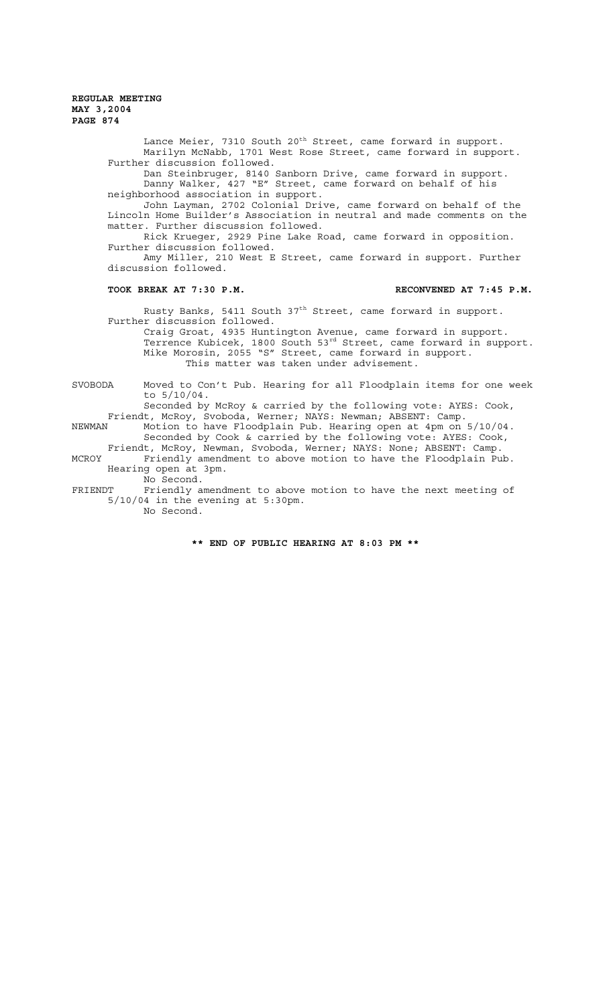> Lance Meier, 7310 South 20<sup>th</sup> Street, came forward in support. Marilyn McNabb, 1701 West Rose Street, came forward in support. Further discussion followed. Dan Steinbruger, 8140 Sanborn Drive, came forward in support. Danny Walker, 427 "E" Street, came forward on behalf of his neighborhood association in support. John Layman, 2702 Colonial Drive, came forward on behalf of the Lincoln Home Builder's Association in neutral and made comments on the matter. Further discussion followed. Rick Krueger, 2929 Pine Lake Road, came forward in opposition. Further discussion followed. Amy Miller, 210 West E Street, came forward in support. Further discussion followed. **TOOK BREAK AT 7:30 P.M. RECONVENED AT 7:45 P.M.** Rusty Banks, 5411 South 37<sup>th</sup> Street, came forward in support. Further discussion followed. Craig Groat, 4935 Huntington Avenue, came forward in support. Terrence Kubicek, 1800 South 53rd Street, came forward in support.

Mike Morosin, 2055 "S" Street, came forward in support. This matter was taken under advisement.

SVOBODA Moved to Con't Pub. Hearing for all Floodplain items for one week to 5/10/04.

Seconded by McRoy & carried by the following vote: AYES: Cook, Friendt, McRoy, Svoboda, Werner; NAYS: Newman; ABSENT: Camp. NEWMAN Motion to have Floodplain Pub. Hearing open at 4pm on 5/10/04.

Seconded by Cook & carried by the following vote: AYES: Cook, Friendt, McRoy, Newman, Svoboda, Werner; NAYS: None; ABSENT: Camp.

MCROY Friendly amendment to above motion to have the Floodplain Pub. Hearing open at 3pm.

No Second.

FRIENDT Friendly amendment to above motion to have the next meeting of 5/10/04 in the evening at 5:30pm. No Second.

**\*\* END OF PUBLIC HEARING AT 8:03 PM \*\***